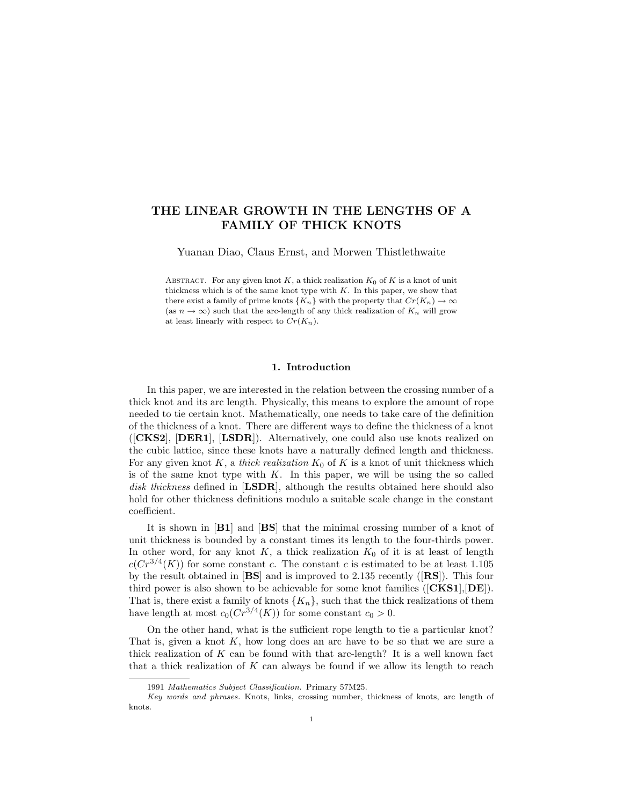# THE LINEAR GROWTH IN THE LENGTHS OF A FAMILY OF THICK KNOTS

Yuanan Diao, Claus Ernst, and Morwen Thistlethwaite

ABSTRACT. For any given knot  $K$ , a thick realization  $K_0$  of  $K$  is a knot of unit thickness which is of the same knot type with  $K$ . In this paper, we show that there exist a family of prime knots  $\{K_n\}$  with the property that  $Cr(K_n) \to \infty$ (as  $n \to \infty$ ) such that the arc-length of any thick realization of  $K_n$  will grow at least linearly with respect to  $Cr(K_n)$ .

## 1. Introduction

In this paper, we are interested in the relation between the crossing number of a thick knot and its arc length. Physically, this means to explore the amount of rope needed to tie certain knot. Mathematically, one needs to take care of the definition of the thickness of a knot. There are different ways to define the thickness of a knot ([CKS2], [DER1], [LSDR]). Alternatively, one could also use knots realized on the cubic lattice, since these knots have a naturally defined length and thickness. For any given knot  $K$ , a *thick realization*  $K_0$  of  $K$  is a knot of unit thickness which is of the same knot type with  $K$ . In this paper, we will be using the so called disk thickness defined in [LSDR], although the results obtained here should also hold for other thickness definitions modulo a suitable scale change in the constant coefficient.

It is shown in **[B1]** and **[BS]** that the minimal crossing number of a knot of unit thickness is bounded by a constant times its length to the four-thirds power. In other word, for any knot  $K$ , a thick realization  $K_0$  of it is at least of length  $c(Cr^{3/4}(K))$  for some constant c. The constant c is estimated to be at least 1.105 by the result obtained in  $[BS]$  and is improved to 2.135 recently ( $[RS]$ ). This four third power is also shown to be achievable for some knot families  $([{\bf CKS1}], {\bf DE}]).$ That is, there exist a family of knots  $\{K_n\}$ , such that the thick realizations of them have length at most  $c_0(Cr^{3/4}(K))$  for some constant  $c_0 > 0$ .

On the other hand, what is the sufficient rope length to tie a particular knot? That is, given a knot  $K$ , how long does an arc have to be so that we are sure a thick realization of  $K$  can be found with that arc-length? It is a well known fact that a thick realization of  $K$  can always be found if we allow its length to reach

<sup>1991</sup> Mathematics Subject Classification. Primary 57M25.

Key words and phrases. Knots, links, crossing number, thickness of knots, arc length of knots.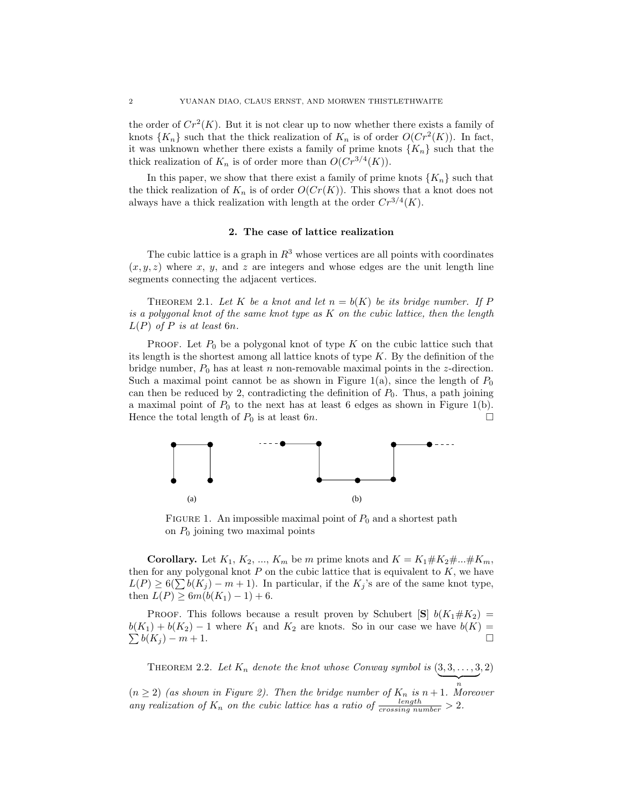the order of  $Cr^2(K)$ . But it is not clear up to now whether there exists a family of knots  $\{K_n\}$  such that the thick realization of  $K_n$  is of order  $O(Cr^2(K))$ . In fact, it was unknown whether there exists a family of prime knots  ${K_n}$  such that the thick realization of  $K_n$  is of order more than  $O(Cr^{3/4}(K))$ .

In this paper, we show that there exist a family of prime knots  $\{K_n\}$  such that the thick realization of  $K_n$  is of order  $O(Cr(K))$ . This shows that a knot does not always have a thick realization with length at the order  $Cr^{3/4}(K)$ .

# 2. The case of lattice realization

The cubic lattice is a graph in  $R^3$  whose vertices are all points with coordinates  $(x, y, z)$  where x, y, and z are integers and whose edges are the unit length line segments connecting the adjacent vertices.

THEOREM 2.1. Let K be a knot and let  $n = b(K)$  be its bridge number. If P is a polygonal knot of the same knot type as  $K$  on the cubic lattice, then the length  $L(P)$  of P is at least 6n.

**PROOF.** Let  $P_0$  be a polygonal knot of type K on the cubic lattice such that its length is the shortest among all lattice knots of type  $K$ . By the definition of the bridge number,  $P_0$  has at least n non-removable maximal points in the z-direction. Such a maximal point cannot be as shown in Figure 1(a), since the length of  $P_0$ can then be reduced by 2, contradicting the definition of  $P_0$ . Thus, a path joining a maximal point of  $P_0$  to the next has at least 6 edges as shown in Figure 1(b). Hence the total length of  $P_0$  is at least 6n.  $\Box$ 



FIGURE 1. An impossible maximal point of  $P_0$  and a shortest path on  $P_0$  joining two maximal points

**Corollary.** Let  $K_1, K_2, ..., K_m$  be m prime knots and  $K = K_1 \# K_2 \# ... \# K_m$ , then for any polygonal knot  $P$  on the cubic lattice that is equivalent to  $K$ , we have  $L(P) \ge 6(\sum b(K_i) - m + 1)$ . In particular, if the  $K_i$ 's are of the same knot type, then  $L(P) \geq 6m(b(K_1) - 1) + 6$ .

PROOF. This follows because a result proven by Schubert  $[S]$   $b(K_1 \# K_2)$  =  $b(K_1) + b(K_2) - 1$  where  $K_1$  and  $K_2$  are knots. So in our case we have  $b(K) =$  $\sum b(K_i) - m + 1.$ 

THEOREM 2.2. Let  $K_n$  denote the knot whose Conway symbol is  $(3, 3, \ldots, 3, 2)$ 

 $(n \geq 2)$  (as shown in Figure 2). Then the bridge number of  $K_n$  is  $n+1$ . Moreover any realization of  $K_n$  on the cubic lattice has a ratio of  $\frac{\text{length}}{\text{crossing number}} > 2$ .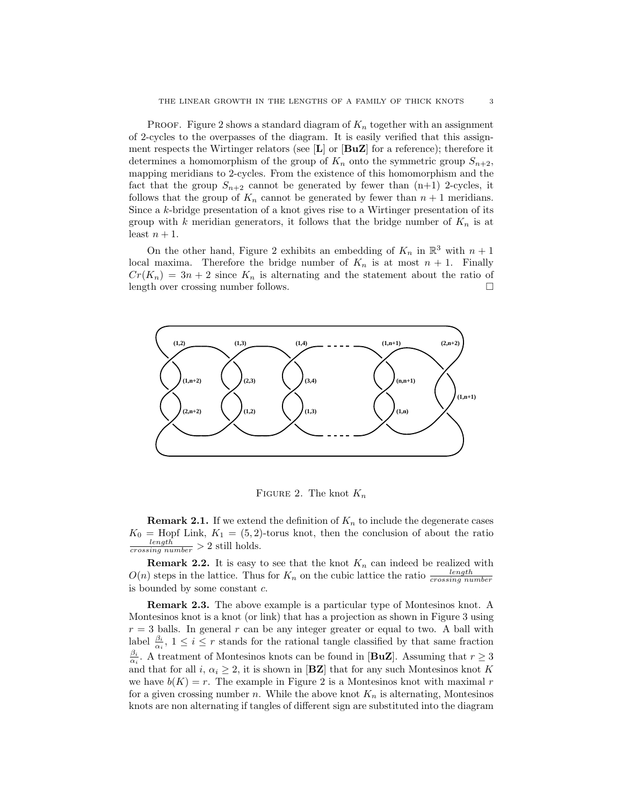**PROOF.** Figure 2 shows a standard diagram of  $K_n$  together with an assignment of 2-cycles to the overpasses of the diagram. It is easily verified that this assignment respects the Wirtinger relators (see  $[L]$  or  $[BuZ]$  for a reference); therefore it determines a homomorphism of the group of  $K_n$  onto the symmetric group  $S_{n+2}$ , mapping meridians to 2-cycles. From the existence of this homomorphism and the fact that the group  $S_{n+2}$  cannot be generated by fewer than  $(n+1)$  2-cycles, it follows that the group of  $K_n$  cannot be generated by fewer than  $n + 1$  meridians. Since a k-bridge presentation of a knot gives rise to a Wirtinger presentation of its group with k meridian generators, it follows that the bridge number of  $K_n$  is at least  $n + 1$ .

On the other hand, Figure 2 exhibits an embedding of  $K_n$  in  $\mathbb{R}^3$  with  $n+1$ local maxima. Therefore the bridge number of  $K_n$  is at most  $n + 1$ . Finally  $Cr(K_n) = 3n + 2$  since  $K_n$  is alternating and the statement about the ratio of length over crossing number follows.



FIGURE 2. The knot  $K_n$ 

**Remark 2.1.** If we extend the definition of  $K_n$  to include the degenerate cases  $K_0$  = Hopf Link,  $K_1 = (5, 2)$ -torus knot, then the conclusion of about the ratio  $\frac{length}{crossing number} > 2$  still holds.

**Remark 2.2.** It is easy to see that the knot  $K_n$  can indeed be realized with  $O(n)$  steps in the lattice. Thus for  $K_n$  on the cubic lattice the ratio  $\frac{length}{crossing number}$ is bounded by some constant c.

Remark 2.3. The above example is a particular type of Montesinos knot. A Montesinos knot is a knot (or link) that has a projection as shown in Figure 3 using  $r = 3$  balls. In general r can be any integer greater or equal to two. A ball with label  $\frac{\beta_i}{\alpha_i}$ ,  $1 \leq i \leq r$  stands for the rational tangle classified by that same fraction  $\frac{\beta_i}{\alpha_i}$ . A treatment of Montesinos knots can be found in [**BuZ**]. Assuming that  $r \geq 3$ and that for all i,  $\alpha_i \geq 2$ , it is shown in [**BZ**] that for any such Montesinos knot K we have  $b(K) = r$ . The example in Figure 2 is a Montesinos knot with maximal r for a given crossing number n. While the above knot  $K_n$  is alternating, Montesinos knots are non alternating if tangles of different sign are substituted into the diagram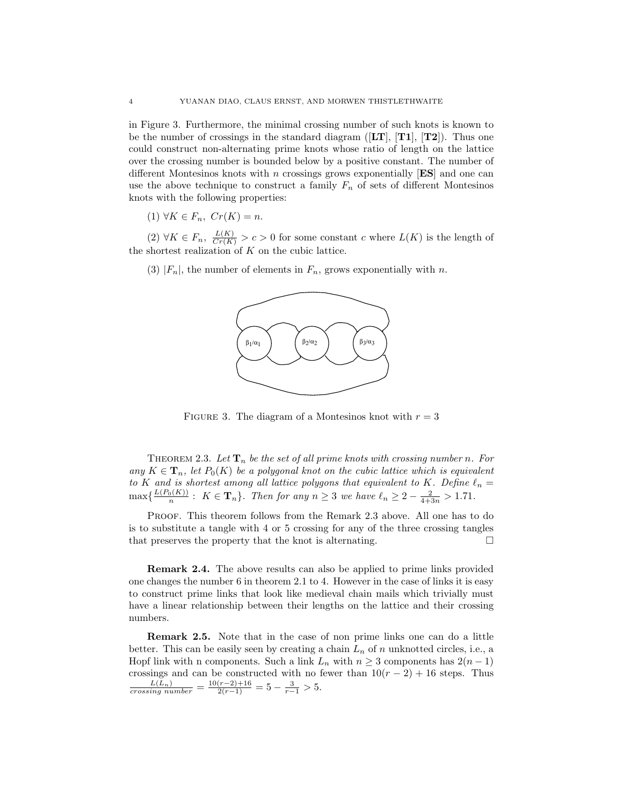in Figure 3. Furthermore, the minimal crossing number of such knots is known to be the number of crossings in the standard diagram ( $[LT]$ ,  $[T1]$ ,  $[T2]$ ). Thus one could construct non-alternating prime knots whose ratio of length on the lattice over the crossing number is bounded below by a positive constant. The number of different Montesinos knots with n crossings grows exponentially  $[ES]$  and one can use the above technique to construct a family  $F_n$  of sets of different Montesinos knots with the following properties:

(1)  $\forall K \in F_n$ ,  $Cr(K) = n$ .

 $(2) \forall K \in F_n$ ,  $\frac{L(K)}{Cr(K)} > c > 0$  for some constant c where  $L(K)$  is the length of the shortest realization of  $K$  on the cubic lattice.

(3)  $|F_n|$ , the number of elements in  $F_n$ , grows exponentially with n.



FIGURE 3. The diagram of a Montesinos knot with  $r = 3$ 

THEOREM 2.3. Let  $\mathbf{T}_n$  be the set of all prime knots with crossing number n. For any  $K \in \mathbf{T}_n$ , let  $P_0(K)$  be a polygonal knot on the cubic lattice which is equivalent to K and is shortest among all lattice polygons that equivalent to K. Define  $\ell_n =$  $\max\{\frac{L(P_0(K))}{n} : K \in \mathbf{T}_n\}.$  Then for any  $n \geq 3$  we have  $\ell_n \geq 2 - \frac{2}{4+3n} > 1.71.$ 

Proof. This theorem follows from the Remark 2.3 above. All one has to do is to substitute a tangle with 4 or 5 crossing for any of the three crossing tangles that preserves the property that the knot is alternating.  $\Box$ 

Remark 2.4. The above results can also be applied to prime links provided one changes the number 6 in theorem 2.1 to 4. However in the case of links it is easy to construct prime links that look like medieval chain mails which trivially must have a linear relationship between their lengths on the lattice and their crossing numbers.

**Remark 2.5.** Note that in the case of non prime links one can do a little better. This can be easily seen by creating a chain  $L_n$  of n unknotted circles, i.e., a Hopf link with n components. Such a link  $L_n$  with  $n \geq 3$  components has  $2(n-1)$ crossings and can be constructed with no fewer than  $10(r-2) + 16$  steps. Thus  $\frac{L(L_n)}{crossing number} = \frac{10(r-2)+16}{2(r-1)} = 5 - \frac{3}{r-1} > 5.$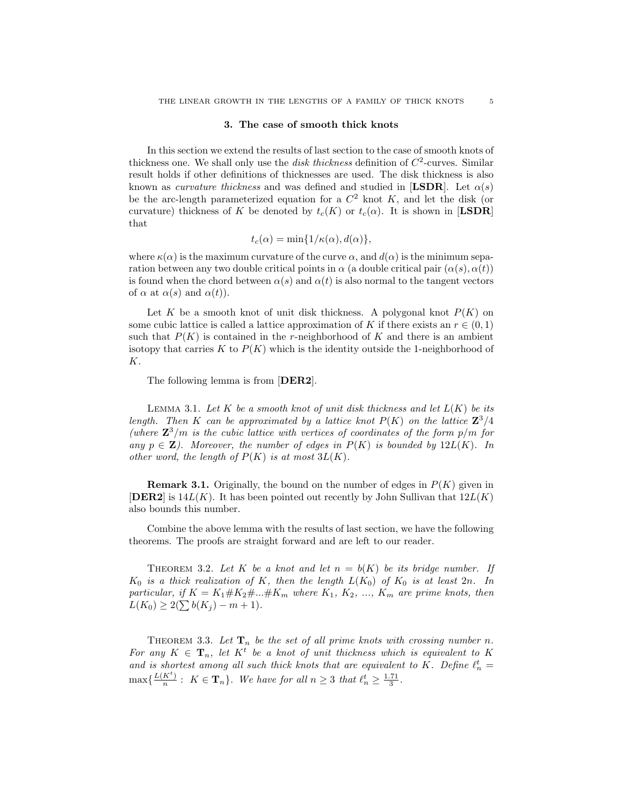#### 3. The case of smooth thick knots

In this section we extend the results of last section to the case of smooth knots of thickness one. We shall only use the *disk thickness* definition of  $C^2$ -curves. Similar result holds if other definitions of thicknesses are used. The disk thickness is also known as *curvature thickness* and was defined and studied in [LSDR]. Let  $\alpha(s)$ be the arc-length parameterized equation for a  $C<sup>2</sup>$  knot K, and let the disk (or curvature) thickness of K be denoted by  $t_c(K)$  or  $t_c(\alpha)$ . It is shown in [LSDR] that

$$
t_c(\alpha) = \min\{1/\kappa(\alpha), d(\alpha)\},\
$$

where  $\kappa(\alpha)$  is the maximum curvature of the curve  $\alpha$ , and  $d(\alpha)$  is the minimum separation between any two double critical points in  $\alpha$  (a double critical pair  $(\alpha(s), \alpha(t))$ ) is found when the chord between  $\alpha(s)$  and  $\alpha(t)$  is also normal to the tangent vectors of  $\alpha$  at  $\alpha(s)$  and  $\alpha(t)$ ).

Let K be a smooth knot of unit disk thickness. A polygonal knot  $P(K)$  on some cubic lattice is called a lattice approximation of K if there exists an  $r \in (0,1)$ such that  $P(K)$  is contained in the r-neighborhood of K and there is an ambient isotopy that carries K to  $P(K)$  which is the identity outside the 1-neighborhood of K.

The following lemma is from [DER2].

LEMMA 3.1. Let K be a smooth knot of unit disk thickness and let  $L(K)$  be its length. Then K can be approximated by a lattice knot  $P(K)$  on the lattice  $\mathbb{Z}^3/4$ (where  $\mathbb{Z}^3/m$  is the cubic lattice with vertices of coordinates of the form  $p/m$  for any  $p \in \mathbf{Z}$ ). Moreover, the number of edges in  $P(K)$  is bounded by  $12L(K)$ . In other word, the length of  $P(K)$  is at most  $3L(K)$ .

**Remark 3.1.** Originally, the bound on the number of edges in  $P(K)$  given in **[DER2]** is  $14L(K)$ . It has been pointed out recently by John Sullivan that  $12L(K)$ also bounds this number.

Combine the above lemma with the results of last section, we have the following theorems. The proofs are straight forward and are left to our reader.

THEOREM 3.2. Let K be a knot and let  $n = b(K)$  be its bridge number. If  $K_0$  is a thick realization of K, then the length  $L(K_0)$  of  $K_0$  is at least  $2n$ . In particular, if  $K = K_1 \# K_2 \# \dots \# K_m$  where  $K_1, K_2, \dots, K_m$  are prime knots, then  $L(K_0) \geq 2(\sum b(K_i) - m + 1).$ 

THEOREM 3.3. Let  $\mathbf{T}_n$  be the set of all prime knots with crossing number n. For any  $K \in \mathbf{T}_n$ , let  $K^t$  be a knot of unit thickness which is equivalent to K and is shortest among all such thick knots that are equivalent to K. Define  $\ell_n^t =$  $\max\left\{\frac{L(K^t)}{n}\right\}$  $\frac{K^{t}}{n}$ :  $K \in \mathbf{T}_{n}$ . We have for all  $n \geq 3$  that  $\ell_n^t \geq \frac{1.71}{3}$ .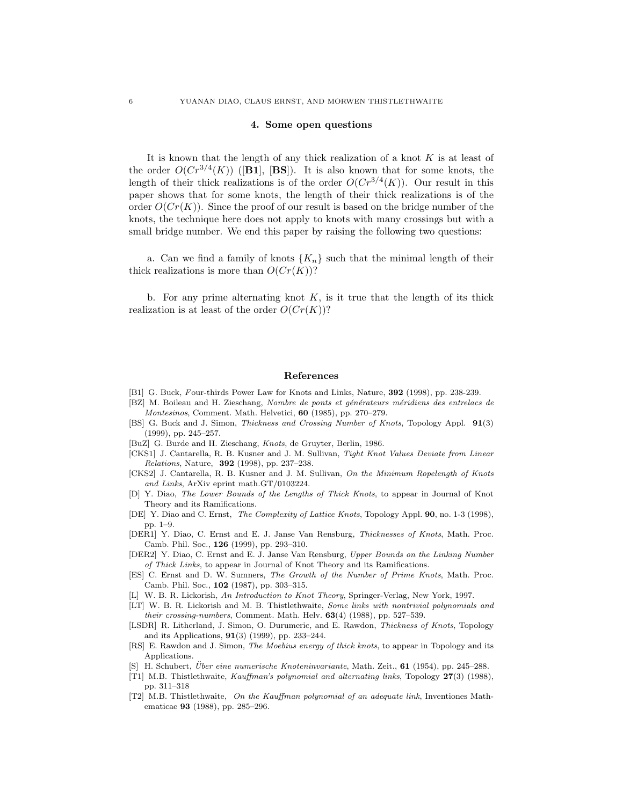#### 4. Some open questions

It is known that the length of any thick realization of a knot  $K$  is at least of the order  $O(Cr^{3/4}(K))$  ([B1], [BS]). It is also known that for some knots, the length of their thick realizations is of the order  $O(Cr^{3/4}(K))$ . Our result in this paper shows that for some knots, the length of their thick realizations is of the order  $O(Cr(K))$ . Since the proof of our result is based on the bridge number of the knots, the technique here does not apply to knots with many crossings but with a small bridge number. We end this paper by raising the following two questions:

a. Can we find a family of knots  ${K_n}$  such that the minimal length of their thick realizations is more than  $O(Cr(K))$ ?

b. For any prime alternating knot  $K$ , is it true that the length of its thick realization is at least of the order  $O(Cr(K))$ ?

### References

- [B1] G. Buck, Four-thirds Power Law for Knots and Links, Nature, 392 (1998), pp. 238-239.
- [BZ] M. Boileau and H. Zieschang, Nombre de ponts et générateurs méridiens des entrelacs de Montesinos, Comment. Math. Helvetici, 60 (1985), pp. 270–279.
- [BS] G. Buck and J. Simon, Thickness and Crossing Number of Knots, Topology Appl. 91(3) (1999), pp. 245–257.
- [BuZ] G. Burde and H. Zieschang, Knots, de Gruyter, Berlin, 1986.
- [CKS1] J. Cantarella, R. B. Kusner and J. M. Sullivan, Tight Knot Values Deviate from Linear Relations, Nature, 392 (1998), pp. 237–238.
- [CKS2] J. Cantarella, R. B. Kusner and J. M. Sullivan, On the Minimum Ropelength of Knots and Links, ArXiv eprint math.GT/0103224.
- [D] Y. Diao, The Lower Bounds of the Lengths of Thick Knots, to appear in Journal of Knot Theory and its Ramifications.
- [DE] Y. Diao and C. Ernst, The Complexity of Lattice Knots, Topology Appl. 90, no. 1-3 (1998), pp. 1–9.
- [DER1] Y. Diao, C. Ernst and E. J. Janse Van Rensburg, Thicknesses of Knots, Math. Proc. Camb. Phil. Soc., 126 (1999), pp. 293–310.
- [DER2] Y. Diao, C. Ernst and E. J. Janse Van Rensburg, Upper Bounds on the Linking Number of Thick Links, to appear in Journal of Knot Theory and its Ramifications.
- [ES] C. Ernst and D. W. Sumners, The Growth of the Number of Prime Knots, Math. Proc. Camb. Phil. Soc., 102 (1987), pp. 303–315.
- [L] W. B. R. Lickorish, An Introduction to Knot Theory, Springer-Verlag, New York, 1997.
- [LT] W. B. R. Lickorish and M. B. Thistlethwaite, Some links with nontrivial polynomials and their crossing-numbers, Comment. Math. Helv.  $63(4)$  (1988), pp. 527–539.
- [LSDR] R. Litherland, J. Simon, O. Durumeric, and E. Rawdon, Thickness of Knots, Topology and its Applications, 91(3) (1999), pp. 233–244.
- [RS] E. Rawdon and J. Simon, The Moebius energy of thick knots, to appear in Topology and its Applications.
- [S] H. Schubert, *Über eine numerische Knoteninvariante*, Math. Zeit., **61** (1954), pp. 245–288.
- [T1] M.B. Thistlethwaite, Kauffman's polynomial and alternating links, Topology 27(3) (1988), pp. 311–318
- [T2] M.B. Thistlethwaite, On the Kauffman polynomial of an adequate link, Inventiones Mathematicae 93 (1988), pp. 285–296.